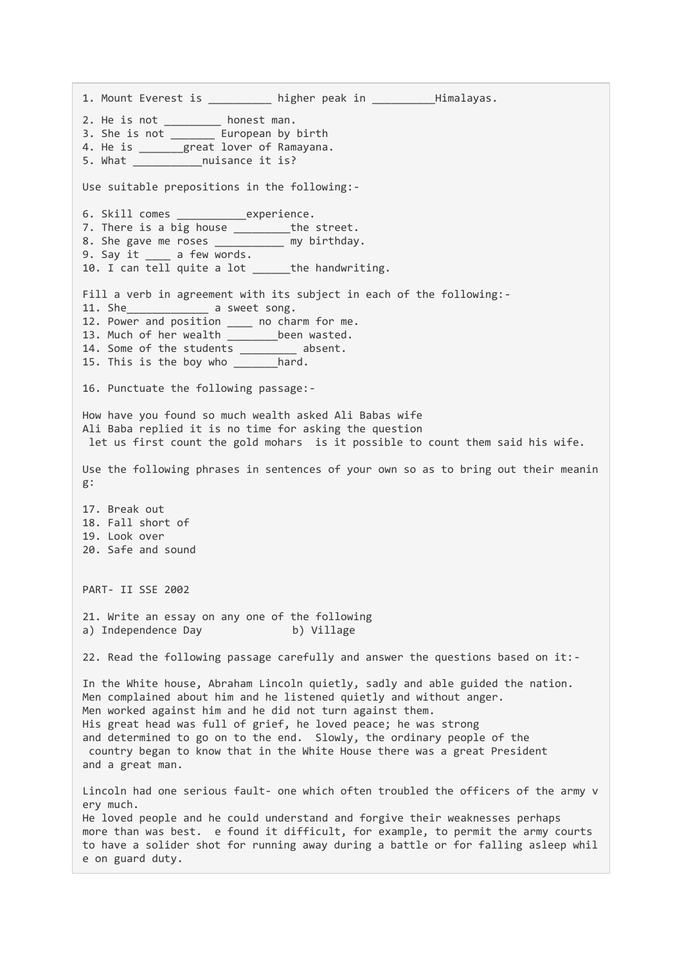1. Mount Everest is entitled the higher peak in the Himalayas. 2. He is not \_\_\_\_\_\_\_\_\_\_ honest man. 3. She is not \_\_\_\_\_\_\_ European by birth 4. He is \_\_\_\_\_\_\_great lover of Ramayana. 5. What \_\_\_\_\_\_\_\_\_\_\_nuisance it is? Use suitable prepositions in the following:- 6. Skill comes \_\_\_\_\_\_\_\_\_\_\_experience. 7. There is a big house \_\_\_\_\_\_\_\_\_\_\_the street. 8. She gave me roses \_\_\_\_\_\_\_\_\_\_ my birthday. 9. Say it \_\_\_\_ a few words. 10. I can tell quite a lot \_\_\_\_\_\_ the handwriting. Fill a verb in agreement with its subject in each of the following:-11. She a sweet song. 12. Power and position \_\_\_\_ no charm for me. 13. Much of her wealth \_\_\_\_\_\_\_\_been wasted. 14. Some of the students \_\_\_\_\_\_\_\_\_ absent. 15. This is the boy who \_\_\_\_\_\_\_hard. 16. Punctuate the following passage:- How have you found so much wealth asked Ali Babas wife Ali Baba replied it is no time for asking the question let us first count the gold mohars is it possible to count them said his wife. Use the following phrases in sentences of your own so as to bring out their meanin g: 17. Break out 18. Fall short of 19. Look over 20. Safe and sound PART- II SSE 2002 21. Write an essay on any one of the following a) Independence Day b) Village 22. Read the following passage carefully and answer the questions based on it:- In the White house, Abraham Lincoln quietly, sadly and able guided the nation. Men complained about him and he listened quietly and without anger. Men worked against him and he did not turn against them. His great head was full of grief, he loved peace; he was strong and determined to go on to the end. Slowly, the ordinary people of the country began to know that in the White House there was a great President and a great man. Lincoln had one serious fault- one which often troubled the officers of the army v ery much. He loved people and he could understand and forgive their weaknesses perhaps more than was best. e found it difficult, for example, to permit the army courts to have a solider shot for running away during a battle or for falling asleep whil e on guard duty.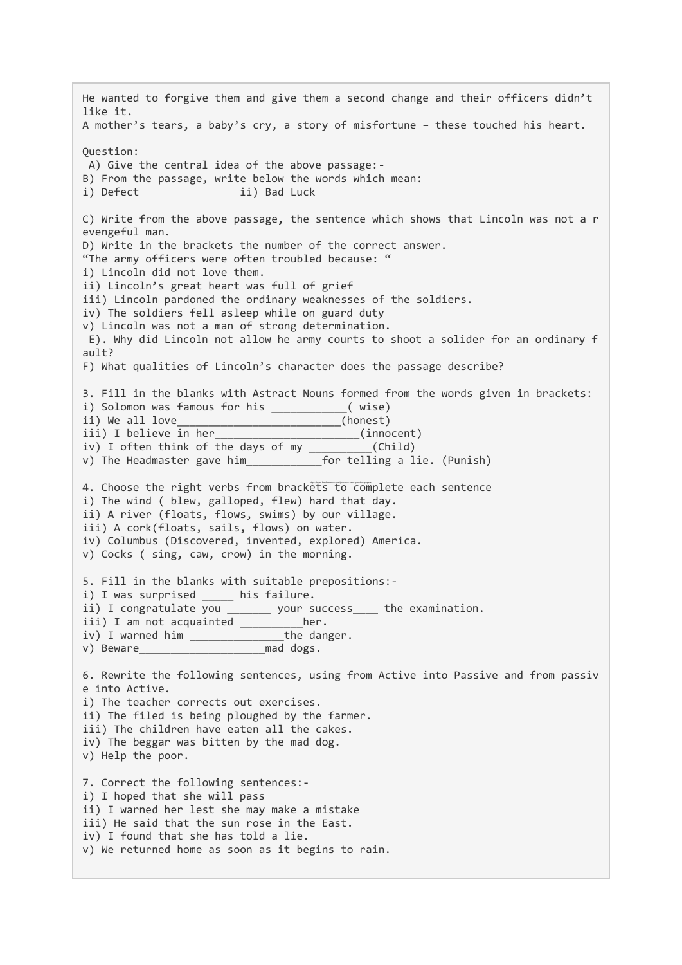He wanted to forgive them and give them a second change and their officers didn't like it. A mother's tears, a baby's cry, a story of misfortune – these touched his heart. Question: A) Give the central idea of the above passage:- B) From the passage, write below the words which mean: i) Defect ii) Bad Luck C) Write from the above passage, the sentence which shows that Lincoln was not a r evengeful man. D) Write in the brackets the number of the correct answer. "The army officers were often troubled because: " i) Lincoln did not love them. ii) Lincoln's great heart was full of grief iii) Lincoln pardoned the ordinary weaknesses of the soldiers. iv) The soldiers fell asleep while on guard duty v) Lincoln was not a man of strong determination. E). Why did Lincoln not allow he army courts to shoot a solider for an ordinary f ault? F) What qualities of Lincoln's character does the passage describe? 3. Fill in the blanks with Astract Nouns formed from the words given in brackets: i) Solomon was famous for his \_\_\_\_\_\_\_\_\_\_\_( wise) ii) We all love\_\_\_\_\_\_\_\_\_\_\_\_\_\_\_\_\_\_\_\_\_\_\_\_\_\_(honest) iii) I believe in her\_\_\_\_\_\_\_\_\_\_\_\_\_\_\_\_\_\_\_\_\_\_\_(innocent) iv) I often think of the days of my  $\frac{1}{\pi}$  (Child)<br>v) The Headmaster gave him for telling a lie. (Punish) v) The Headmaster gave him 4. Choose the right verbs from brackets to complete each sentence i) The wind ( blew, galloped, flew) hard that day. ii) A river (floats, flows, swims) by our village. iii) A cork(floats, sails, flows) on water. iv) Columbus (Discovered, invented, explored) America. v) Cocks ( sing, caw, crow) in the morning. 5. Fill in the blanks with suitable prepositions: i) I was surprised \_\_\_\_\_ his failure. ii) I congratulate you \_\_\_\_\_\_\_ your success\_\_\_\_ the examination. iii) I am not acquainted \_\_\_\_\_\_\_\_\_\_her. iv) I warned him \_\_\_\_\_\_\_\_\_\_\_\_\_\_\_the danger. v) Beware\_\_\_\_\_\_\_\_\_\_\_\_\_\_\_\_\_\_\_\_mad dogs. 6. Rewrite the following sentences, using from Active into Passive and from passiv e into Active. i) The teacher corrects out exercises. ii) The filed is being ploughed by the farmer. iii) The children have eaten all the cakes. iv) The beggar was bitten by the mad dog. v) Help the poor. 7. Correct the following sentences: i) I hoped that she will pass ii) I warned her lest she may make a mistake iii) He said that the sun rose in the East. iv) I found that she has told a lie. v) We returned home as soon as it begins to rain.